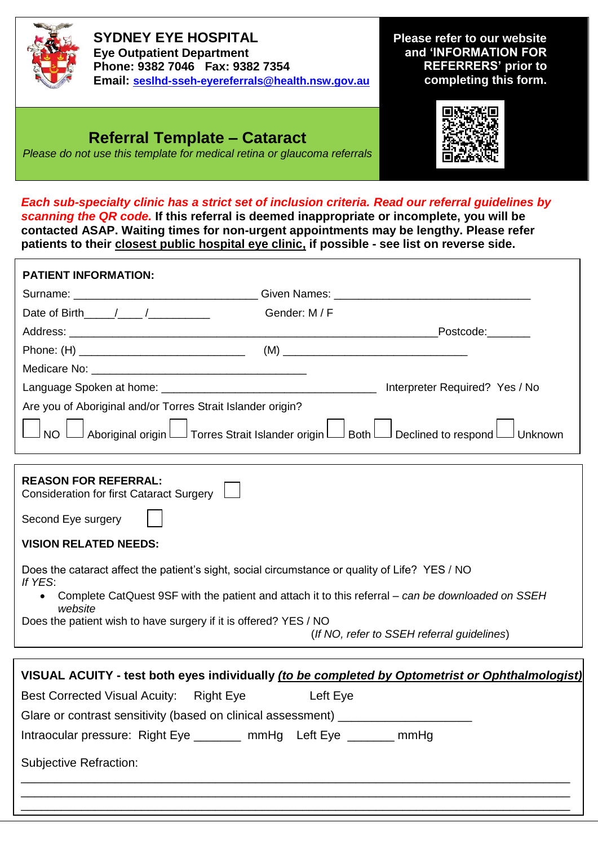

**SYDNEY EYE HOSPITAL Eye Outpatient Department Phone: 9382 7046 Fax: 9382 7354 Email: [seslhd-sseh-eyereferrals@health.nsw.gov.au](mailto:seslhd-sseh-eyereferrals@health.nsw.gov.au)**

**Please refer to our website and 'INFORMATION FOR REFERRERS' prior to completing this form.**

## **Referral Template – Cataract**

*Please do not use this template for medical retina or glaucoma referrals*



*Each sub-specialty clinic has a strict set of inclusion criteria. Read our referral guidelines by scanning the QR code.* **If this referral is deemed inappropriate or incomplete, you will be contacted ASAP. Waiting times for non-urgent appointments may be lengthy. Please refer patients to their closest public hospital eye clinic, if possible - see list on reverse side.**

| <b>PATIENT INFORMATION:</b>                                                                     |                                                                                                                                                                                                     |  |
|-------------------------------------------------------------------------------------------------|-----------------------------------------------------------------------------------------------------------------------------------------------------------------------------------------------------|--|
|                                                                                                 | Surname: ___________________________________Given Names: _______________________                                                                                                                    |  |
| Date of Birth $/$ / /                                                                           | Gender: M / F                                                                                                                                                                                       |  |
|                                                                                                 | Postcode:                                                                                                                                                                                           |  |
|                                                                                                 |                                                                                                                                                                                                     |  |
|                                                                                                 |                                                                                                                                                                                                     |  |
|                                                                                                 | Interpreter Required? Yes / No                                                                                                                                                                      |  |
| Are you of Aboriginal and/or Torres Strait Islander origin?                                     |                                                                                                                                                                                                     |  |
| <b>NO</b>                                                                                       | Aboriginal origin Latorres Strait Islander origin Lator Both Latoral Declined to respond Lator Unknown                                                                                              |  |
| <b>REASON FOR REFERRAL:</b><br>Consideration for first Cataract Surgery [                       |                                                                                                                                                                                                     |  |
| Second Eye surgery<br><b>VISION RELATED NEEDS:</b>                                              |                                                                                                                                                                                                     |  |
| If YES:<br>$\bullet$<br>website                                                                 | Does the cataract affect the patient's sight, social circumstance or quality of Life? YES / NO<br>Complete CatQuest 9SF with the patient and attach it to this referral - can be downloaded on SSEH |  |
| Does the patient wish to have surgery if it is offered? YES / NO                                | (If NO, refer to SSEH referral guidelines)                                                                                                                                                          |  |
|                                                                                                 |                                                                                                                                                                                                     |  |
| VISUAL ACUITY - test both eyes individually (to be completed by Optometrist or Ophthalmologist) |                                                                                                                                                                                                     |  |
| <b>Best Corrected Visual Acuity:</b>                                                            | <b>Right Eye</b><br>Left Eye                                                                                                                                                                        |  |

\_\_\_\_\_\_\_\_\_\_\_\_\_\_\_\_\_\_\_\_\_\_\_\_\_\_\_\_\_\_\_\_\_\_\_\_\_\_\_\_\_\_\_\_\_\_\_\_\_\_\_\_\_\_\_\_\_\_\_\_\_\_\_\_\_\_\_\_\_\_\_\_\_\_\_\_\_\_\_\_\_\_ \_\_\_\_\_\_\_\_\_\_\_\_\_\_\_\_\_\_\_\_\_\_\_\_\_\_\_\_\_\_\_\_\_\_\_\_\_\_\_\_\_\_\_\_\_\_\_\_\_\_\_\_\_\_\_\_\_\_\_\_\_\_\_\_\_\_\_\_\_\_\_\_\_\_\_\_\_\_\_\_\_\_ \_\_\_\_\_\_\_\_\_\_\_\_\_\_\_\_\_\_\_\_\_\_\_\_\_\_\_\_\_\_\_\_\_\_\_\_\_\_\_\_\_\_\_\_\_\_\_\_\_\_\_\_\_\_\_\_\_\_\_\_\_\_\_\_\_\_\_\_\_\_\_\_\_\_\_\_\_\_\_\_\_\_

Intraocular pressure: Right Eye \_\_\_\_\_\_\_ mmHg Left Eye \_\_\_\_\_\_\_ mmHg

Glare or contrast sensitivity (based on clinical assessment)

Subjective Refraction: